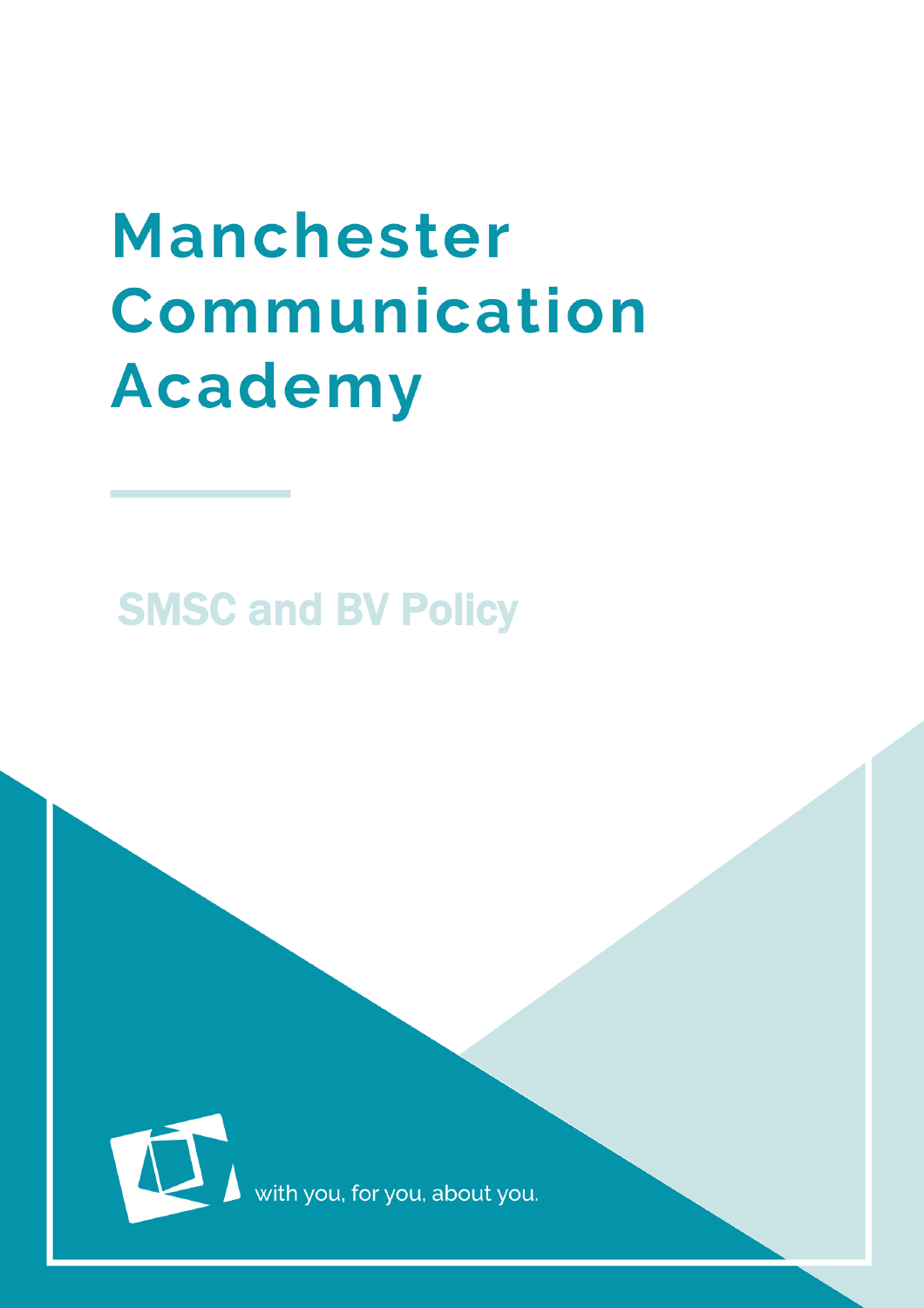# Manchester Communication **Academy**

# SMSC and BV Policy



MCA is a small set of  $S$  and  $B$  -small set of  $S$  and  $B$  -small set of  $S$  and  $B$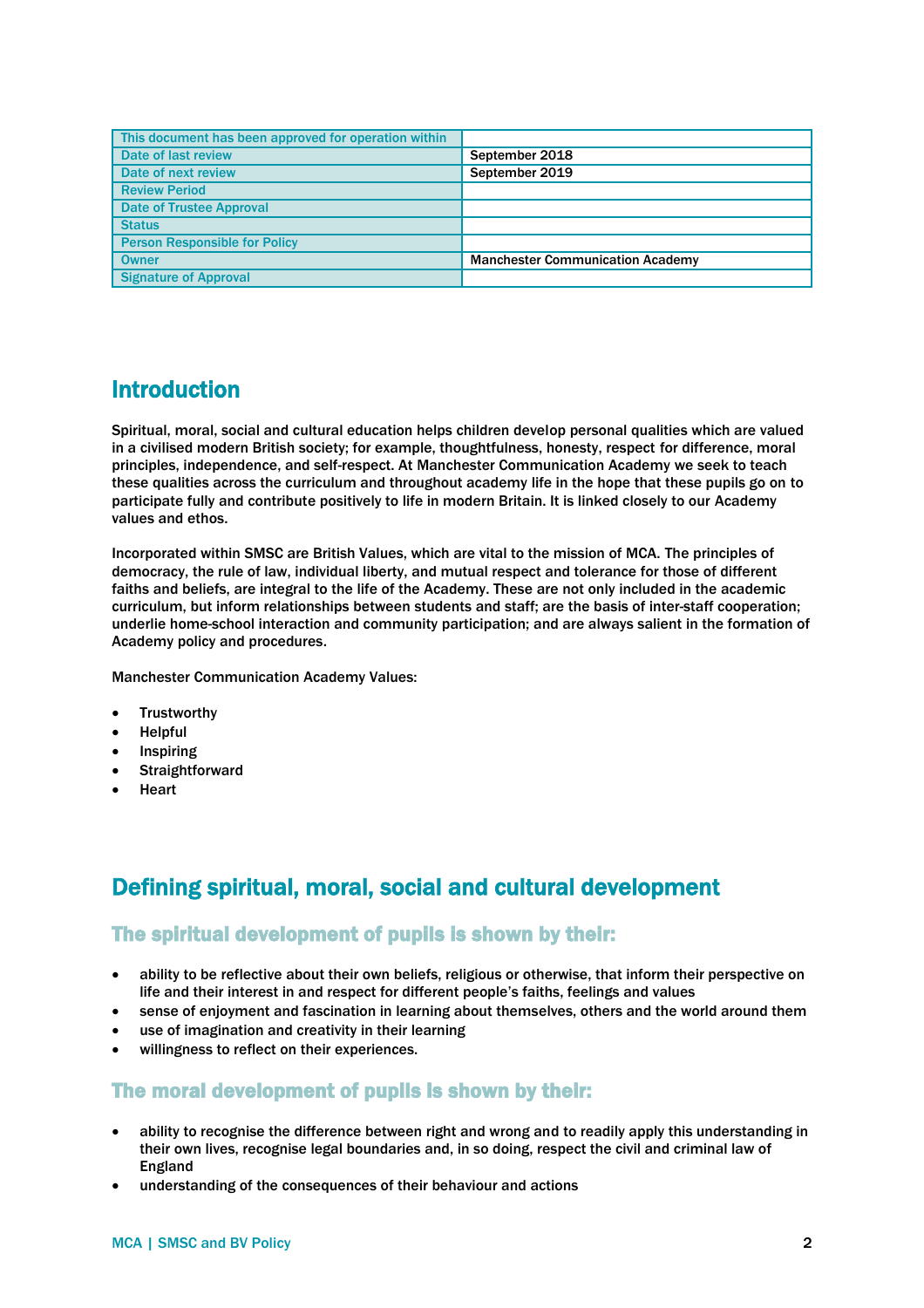| This document has been approved for operation within |                                         |
|------------------------------------------------------|-----------------------------------------|
| Date of last review                                  | September 2018                          |
| Date of next review                                  | September 2019                          |
| <b>Review Period</b>                                 |                                         |
| <b>Date of Trustee Approval</b>                      |                                         |
| <b>Status</b>                                        |                                         |
| <b>Person Responsible for Policy</b>                 |                                         |
| <b>Owner</b>                                         | <b>Manchester Communication Academy</b> |
| <b>Signature of Approval</b>                         |                                         |

### Introduction

Spiritual, moral, social and cultural education helps children develop personal qualities which are valued in a civilised modern British society; for example, thoughtfulness, honesty, respect for difference, moral principles, independence, and self-respect. At Manchester Communication Academy we seek to teach these qualities across the curriculum and throughout academy life in the hope that these pupils go on to participate fully and contribute positively to life in modern Britain. It is linked closely to our Academy values and ethos.

Incorporated within SMSC are British Values, which are vital to the mission of MCA. The principles of democracy, the rule of law, individual liberty, and mutual respect and tolerance for those of different faiths and beliefs, are integral to the life of the Academy. These are not only included in the academic curriculum, but inform relationships between students and staff; are the basis of inter-staff cooperation; underlie home-school interaction and community participation; and are always salient in the formation of Academy policy and procedures.

Manchester Communication Academy Values:

- Trustworthy
- Helpful
- Inspiring
- **Straightforward**
- **Heart**

# Defining spiritual, moral, social and cultural development

#### The spiritual development of pupils is shown by their:

- ability to be reflective about their own beliefs, religious or otherwise, that inform their perspective on life and their interest in and respect for different people's faiths, feelings and values
- sense of enjoyment and fascination in learning about themselves, others and the world around them
- use of imagination and creativity in their learning
- willingness to reflect on their experiences.

#### The moral development of pupils is shown by their:

- ability to recognise the difference between right and wrong and to readily apply this understanding in their own lives, recognise legal boundaries and, in so doing, respect the civil and criminal law of England
- understanding of the consequences of their behaviour and actions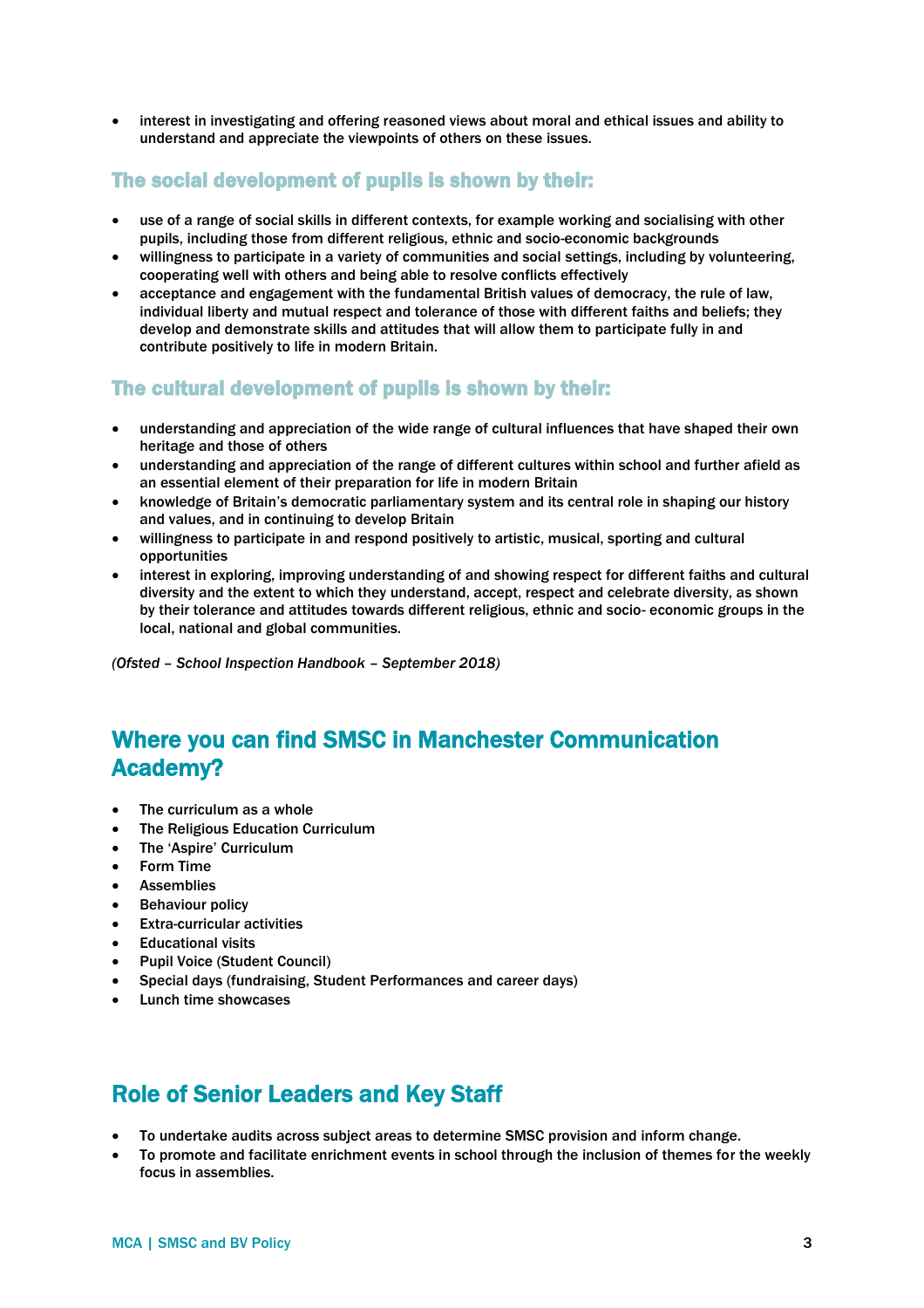interest in investigating and offering reasoned views about moral and ethical issues and ability to understand and appreciate the viewpoints of others on these issues.

#### The social development of pupils is shown by their:

- use of a range of social skills in different contexts, for example working and socialising with other pupils, including those from different religious, ethnic and socio-economic backgrounds
- willingness to participate in a variety of communities and social settings, including by volunteering, cooperating well with others and being able to resolve conflicts effectively
- acceptance and engagement with the fundamental British values of democracy, the rule of law, individual liberty and mutual respect and tolerance of those with different faiths and beliefs; they develop and demonstrate skills and attitudes that will allow them to participate fully in and contribute positively to life in modern Britain.

#### The cultural development of pupils is shown by their:

- understanding and appreciation of the wide range of cultural influences that have shaped their own heritage and those of others
- understanding and appreciation of the range of different cultures within school and further afield as an essential element of their preparation for life in modern Britain
- knowledge of Britain's democratic parliamentary system and its central role in shaping our history and values, and in continuing to develop Britain
- willingness to participate in and respond positively to artistic, musical, sporting and cultural opportunities
- interest in exploring, improving understanding of and showing respect for different faiths and cultural diversity and the extent to which they understand, accept, respect and celebrate diversity, as shown by their tolerance and attitudes towards different religious, ethnic and socio- economic groups in the local, national and global communities.

*(Ofsted – School Inspection Handbook – September 2018)*

# Where you can find SMSC in Manchester Communication Academy?

- The curriculum as a whole
- The Religious Education Curriculum
- The 'Aspire' Curriculum
- Form Time
- Assemblies
- Behaviour policy
- Extra-curricular activities
- Educational visits
- Pupil Voice (Student Council)
- Special days (fundraising, Student Performances and career days)
- Lunch time showcases

# Role of Senior Leaders and Key Staff

- To undertake audits across subject areas to determine SMSC provision and inform change.
- To promote and facilitate enrichment events in school through the inclusion of themes for the weekly focus in assemblies.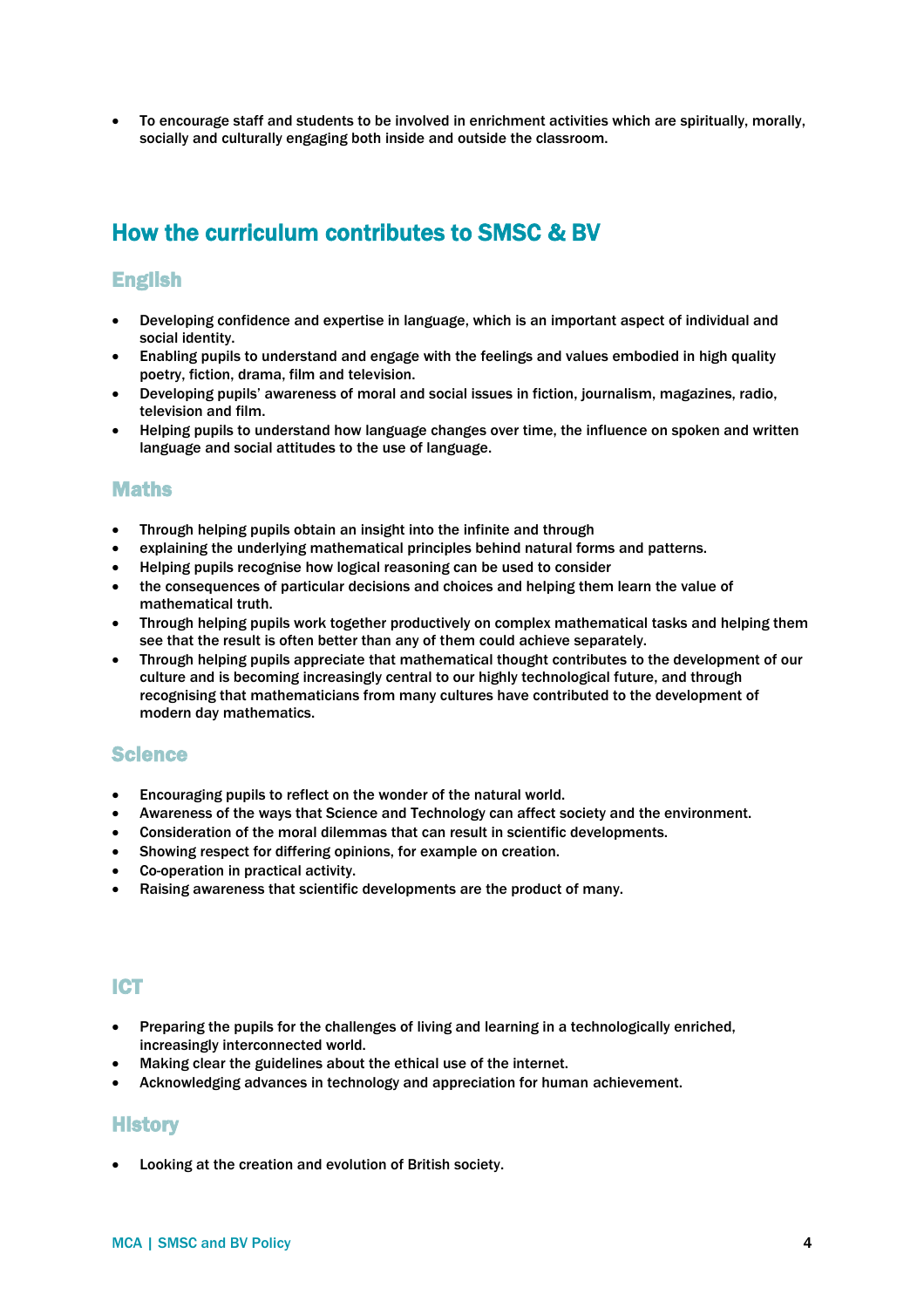To encourage staff and students to be involved in enrichment activities which are spiritually, morally, socially and culturally engaging both inside and outside the classroom.

# How the curriculum contributes to SMSC & BV

#### English

- Developing confidence and expertise in language, which is an important aspect of individual and social identity.
- Enabling pupils to understand and engage with the feelings and values embodied in high quality poetry, fiction, drama, film and television.
- Developing pupils' awareness of moral and social issues in fiction, journalism, magazines, radio, television and film.
- Helping pupils to understand how language changes over time, the influence on spoken and written language and social attitudes to the use of language.

#### Maths

- Through helping pupils obtain an insight into the infinite and through
- explaining the underlying mathematical principles behind natural forms and patterns.
- Helping pupils recognise how logical reasoning can be used to consider
- the consequences of particular decisions and choices and helping them learn the value of mathematical truth.
- Through helping pupils work together productively on complex mathematical tasks and helping them see that the result is often better than any of them could achieve separately.
- Through helping pupils appreciate that mathematical thought contributes to the development of our culture and is becoming increasingly central to our highly technological future, and through recognising that mathematicians from many cultures have contributed to the development of modern day mathematics.

#### **Science**

- Encouraging pupils to reflect on the wonder of the natural world.
- Awareness of the ways that Science and Technology can affect society and the environment.
- Consideration of the moral dilemmas that can result in scientific developments.
- Showing respect for differing opinions, for example on creation.
- Co-operation in practical activity.
- Raising awareness that scientific developments are the product of many.

#### ICT

- Preparing the pupils for the challenges of living and learning in a technologically enriched, increasingly interconnected world.
- Making clear the guidelines about the ethical use of the internet.
- Acknowledging advances in technology and appreciation for human achievement.

#### **History**

Looking at the creation and evolution of British society.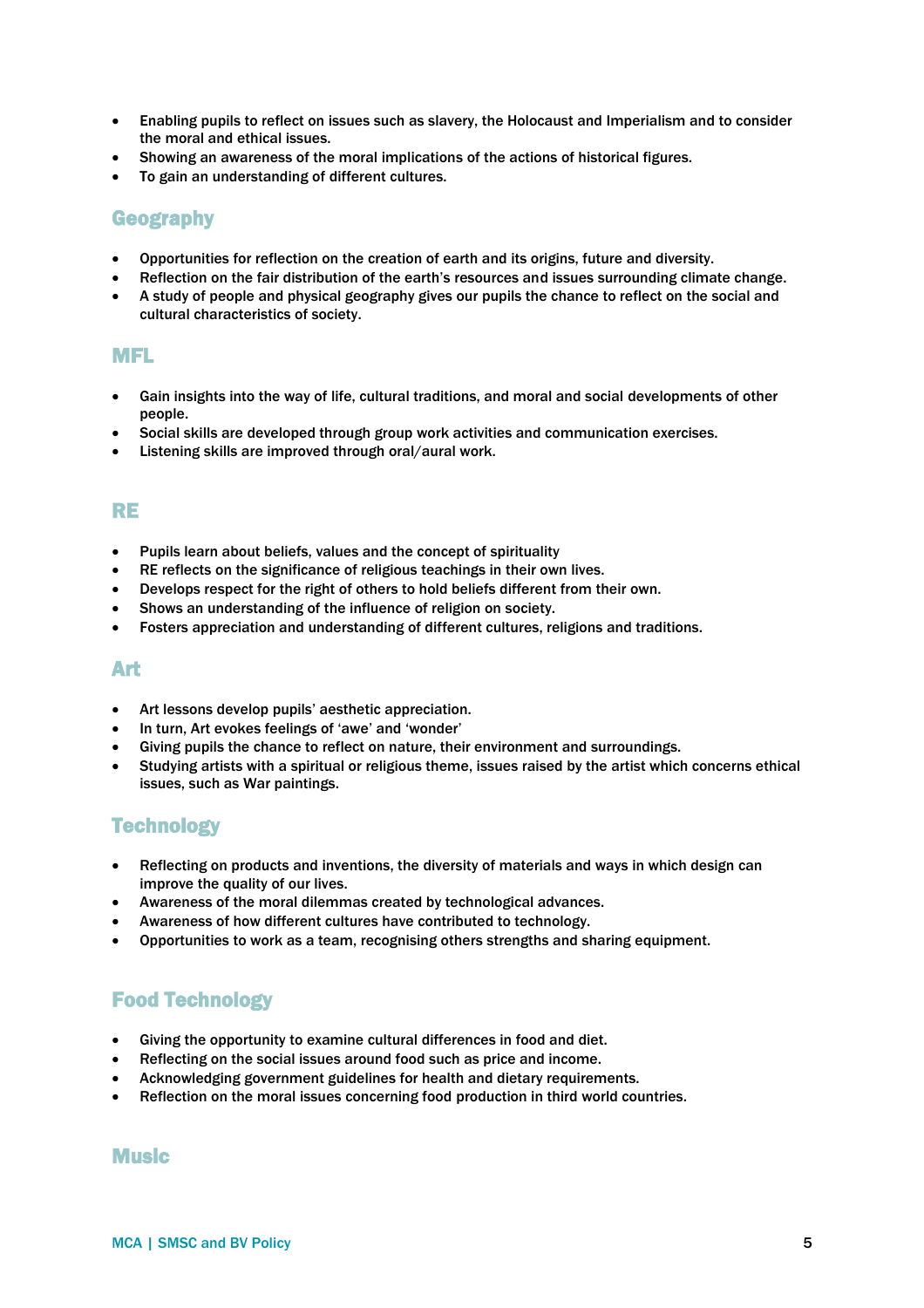- Enabling pupils to reflect on issues such as slavery, the Holocaust and Imperialism and to consider the moral and ethical issues.
- Showing an awareness of the moral implications of the actions of historical figures.
- To gain an understanding of different cultures.

#### Geography

- Opportunities for reflection on the creation of earth and its origins, future and diversity.
- Reflection on the fair distribution of the earth's resources and issues surrounding climate change.
- A study of people and physical geography gives our pupils the chance to reflect on the social and cultural characteristics of society.

#### MFL

- Gain insights into the way of life, cultural traditions, and moral and social developments of other people.
- Social skills are developed through group work activities and communication exercises.
- Listening skills are improved through oral/aural work.

#### RE

- Pupils learn about beliefs, values and the concept of spirituality
- RE reflects on the significance of religious teachings in their own lives.
- Develops respect for the right of others to hold beliefs different from their own.
- Shows an understanding of the influence of religion on society.
- Fosters appreciation and understanding of different cultures, religions and traditions.

#### Art

- Art lessons develop pupils' aesthetic appreciation.
- In turn, Art evokes feelings of 'awe' and 'wonder'
- Giving pupils the chance to reflect on nature, their environment and surroundings.
- Studying artists with a spiritual or religious theme, issues raised by the artist which concerns ethical issues, such as War paintings.

#### **Technology**

- Reflecting on products and inventions, the diversity of materials and ways in which design can improve the quality of our lives.
- Awareness of the moral dilemmas created by technological advances.
- Awareness of how different cultures have contributed to technology.
- Opportunities to work as a team, recognising others strengths and sharing equipment.

#### Food Technology

- Giving the opportunity to examine cultural differences in food and diet.
- Reflecting on the social issues around food such as price and income.
- Acknowledging government guidelines for health and dietary requirements.
- Reflection on the moral issues concerning food production in third world countries.

#### **Music**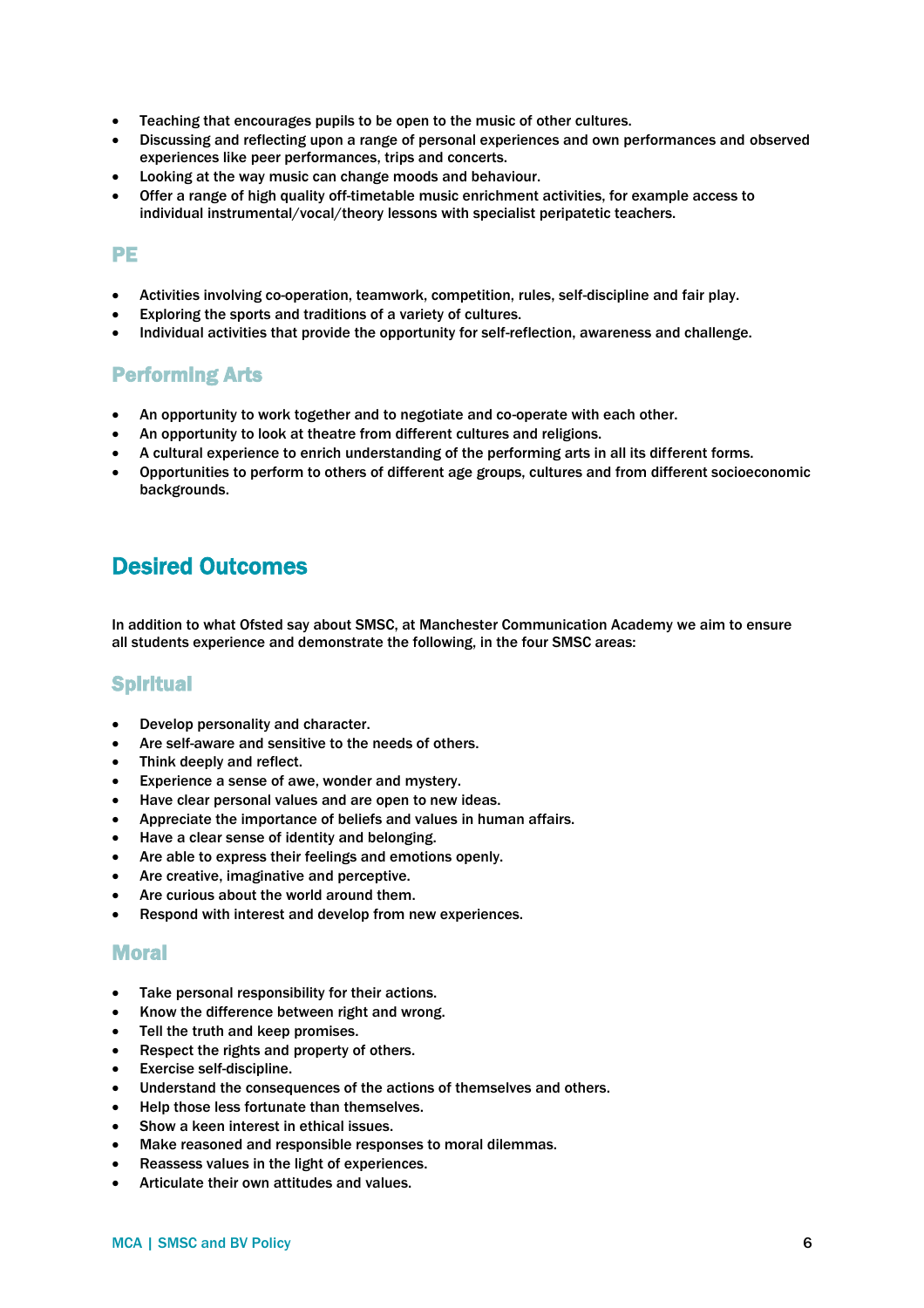- Teaching that encourages pupils to be open to the music of other cultures.
- Discussing and reflecting upon a range of personal experiences and own performances and observed experiences like peer performances, trips and concerts.
- Looking at the way music can change moods and behaviour.
- Offer a range of high quality off-timetable music enrichment activities, for example access to individual instrumental/vocal/theory lessons with specialist peripatetic teachers.

#### PE

- Activities involving co-operation, teamwork, competition, rules, self-discipline and fair play.
- Exploring the sports and traditions of a variety of cultures.
- Individual activities that provide the opportunity for self-reflection, awareness and challenge.

#### Performing Arts

- An opportunity to work together and to negotiate and co-operate with each other.
- An opportunity to look at theatre from different cultures and religions.
- A cultural experience to enrich understanding of the performing arts in all its different forms.
- Opportunities to perform to others of different age groups, cultures and from different socioeconomic backgrounds.

# Desired Outcomes

In addition to what Ofsted say about SMSC, at Manchester Communication Academy we aim to ensure all students experience and demonstrate the following, in the four SMSC areas:

#### **Spiritual**

- Develop personality and character.
- Are self-aware and sensitive to the needs of others.
- Think deeply and reflect.
- Experience a sense of awe, wonder and mystery.
- Have clear personal values and are open to new ideas.
- Appreciate the importance of beliefs and values in human affairs.
- Have a clear sense of identity and belonging.
- Are able to express their feelings and emotions openly.
- Are creative, imaginative and perceptive.
- Are curious about the world around them.
- Respond with interest and develop from new experiences.

#### Moral

- Take personal responsibility for their actions.
- Know the difference between right and wrong.
- Tell the truth and keep promises.
- Respect the rights and property of others.
- Exercise self-discipline.
- Understand the consequences of the actions of themselves and others.
- Help those less fortunate than themselves.
- Show a keen interest in ethical issues.
- Make reasoned and responsible responses to moral dilemmas.
- Reassess values in the light of experiences.
- Articulate their own attitudes and values.